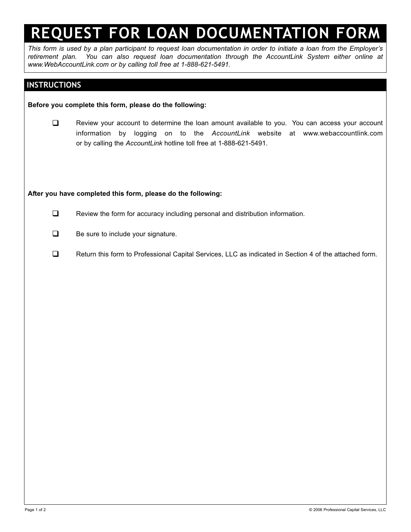# **REQUEST FOR LOAN DOCUMENTATION FORM**

*This form is used by a plan participant to request loan documentation in order to initiate a loan from the Employer's retirement plan. You can also request loan documentation through the AccountLink System either online at www.WebAccountLink.com or by calling toll free at 1-888-621-5491.*

### **INSTRUCTIONS**

### **Before you complete this form, please do the following:**

E Review your account to determine the loan amount available to you. You can access your account information by logging on to the *AccountLink* website at www.webaccountlink.com or by calling the *AccountLink* hotline toll free at 1-888-621-5491.

#### **After you have completed this form, please do the following:**

- $\Box$  Review the form for accuracy including personal and distribution information.
- $\Box$  Be sure to include your signature.
- Return this form to Professional Capital Services, LLC as indicated in Section 4 of the attached form.